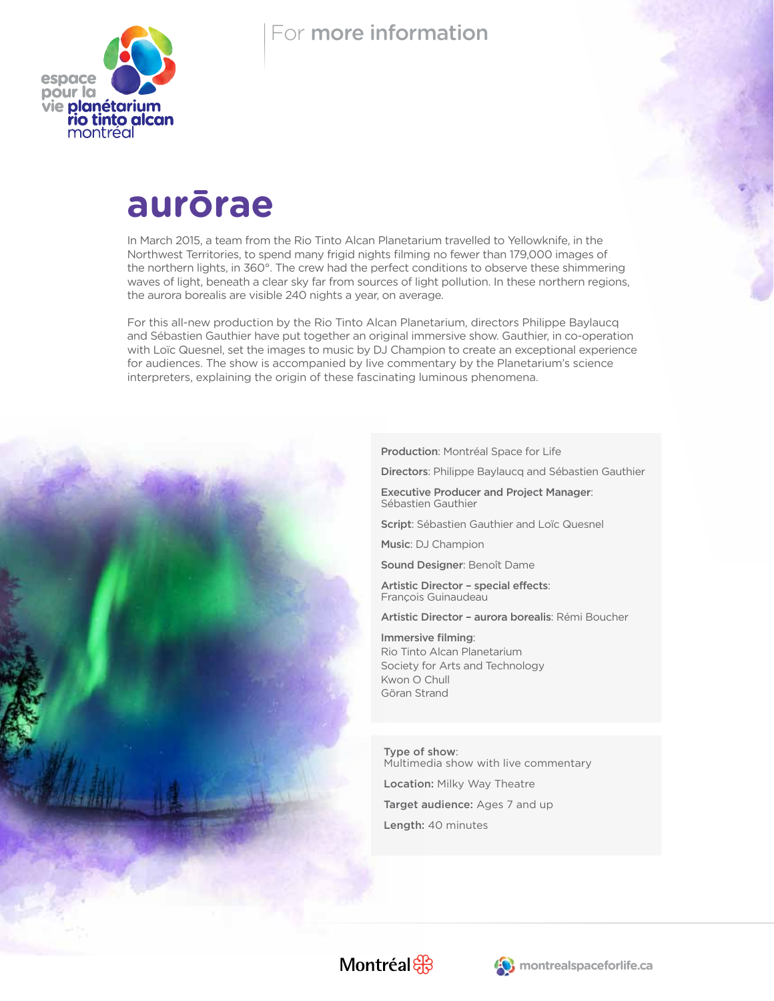

### For more information

# **aurōrae**

In March 2015, a team from the Rio Tinto Alcan Planetarium travelled to Yellowknife, in the Northwest Territories, to spend many frigid nights filming no fewer than 179,000 images of the northern lights, in 360°. The crew had the perfect conditions to observe these shimmering waves of light, beneath a clear sky far from sources of light pollution. In these northern regions, the aurora borealis are visible 240 nights a year, on average.

For this all-new production by the Rio Tinto Alcan Planetarium, directors Philippe Baylaucq and Sébastien Gauthier have put together an original immersive show. Gauthier, in co-operation with Loïc Quesnel, set the images to music by DJ Champion to create an exceptional experience for audiences. The show is accompanied by live commentary by the Planetarium's science interpreters, explaining the origin of these fascinating luminous phenomena.

Production: Montréal Space for Life

Directors: Philippe Baylaucq and Sébastien Gauthier

Executive Producer and Project Manager: Sébastien Gauthier

Script: Sébastien Gauthier and Loïc Quesnel

Music: DJ Champion

Sound Designer: Benoît Dame

Artistic Director – special effects: François Guinaudeau

Artistic Director – aurora borealis: Rémi Boucher

Immersive filming: Rio Tinto Alcan Planetarium Society for Arts and Technology Kwon O Chull Göran Strand

Type of show: Multimedia show with live commentary Location: Milky Way Theatre Target audience: Ages 7 and up Length: 40 minutes